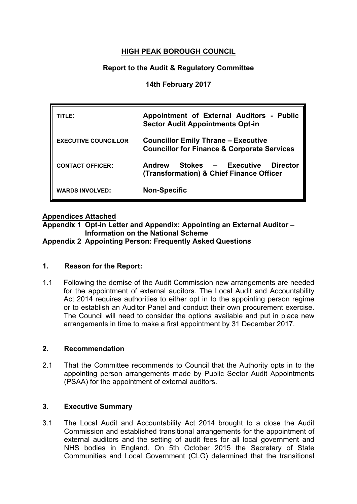# **HIGH PEAK BOROUGH COUNCIL**

## **Report to the Audit & Regulatory Committee**

## **14th February 2017**

| TITLE:                      | Appointment of External Auditors - Public<br><b>Sector Audit Appointments Opt-in</b>                 |
|-----------------------------|------------------------------------------------------------------------------------------------------|
| <b>EXECUTIVE COUNCILLOR</b> | <b>Councillor Emily Thrane - Executive</b><br><b>Councillor for Finance &amp; Corporate Services</b> |
| <b>CONTACT OFFICER:</b>     | <b>Director</b><br>Stokes - Executive<br>Andrew<br>(Transformation) & Chief Finance Officer          |
| <b>WARDS INVOLVED:</b>      | <b>Non-Specific</b>                                                                                  |

## **Appendices Attached**

**Appendix 1 Opt-in Letter and Appendix: Appointing an External Auditor – Information on the National Scheme Appendix 2 Appointing Person: Frequently Asked Questions**

**1. Reason for the Report:**

1.1 Following the demise of the Audit Commission new arrangements are needed for the appointment of external auditors. The Local Audit and Accountability Act 2014 requires authorities to either opt in to the appointing person regime or to establish an Auditor Panel and conduct their own procurement exercise. The Council will need to consider the options available and put in place new

### **2. Recommendation**

2.1 That the Committee recommends to Council that the Authority opts in to the appointing person arrangements made by Public Sector Audit Appointments (PSAA) for the appointment of external auditors.

arrangements in time to make a first appointment by 31 December 2017.

## **3. Executive Summary**

3.1 The Local Audit and Accountability Act 2014 brought to a close the Audit Commission and established transitional arrangements for the appointment of external auditors and the setting of audit fees for all local government and NHS bodies in England. On 5th October 2015 the Secretary of State Communities and Local Government (CLG) determined that the transitional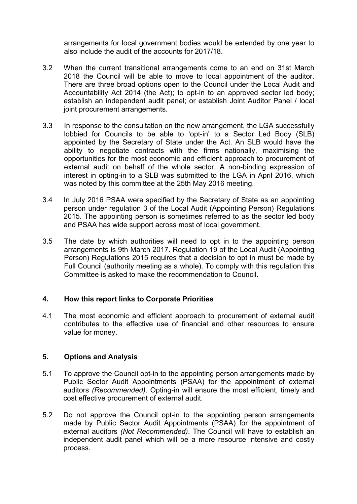arrangements for local government bodies would be extended by one year to also include the audit of the accounts for 2017/18.

- 3.2 When the current transitional arrangements come to an end on 31st March 2018 the Council will be able to move to local appointment of the auditor. There are three broad options open to the Council under the Local Audit and Accountability Act 2014 (the Act); to opt-in to an approved sector led body; establish an independent audit panel; or establish Joint Auditor Panel / local joint procurement arrangements.
- 3.3 In response to the consultation on the new arrangement, the LGA successfully lobbied for Councils to be able to 'opt-in' to a Sector Led Body (SLB) appointed by the Secretary of State under the Act. An SLB would have the ability to negotiate contracts with the firms nationally, maximising the opportunities for the most economic and efficient approach to procurement of external audit on behalf of the whole sector. A non-binding expression of interest in opting-in to a SLB was submitted to the LGA in April 2016, which was noted by this committee at the 25th May 2016 meeting.
- 3.4 In July 2016 PSAA were specified by the Secretary of State as an appointing person under regulation 3 of the Local Audit (Appointing Person) Regulations 2015. The appointing person is sometimes referred to as the sector led body and PSAA has wide support across most of local government.
- 3.5 The date by which authorities will need to opt in to the appointing person arrangements is 9th March 2017. Regulation 19 of the Local Audit (Appointing Person) Regulations 2015 requires that a decision to opt in must be made by Full Council (authority meeting as a whole). To comply with this regulation this Committee is asked to make the recommendation to Council.

### **4. How this report links to Corporate Priorities**

4.1 The most economic and efficient approach to procurement of external audit contributes to the effective use of financial and other resources to ensure value for money.

### **5. Options and Analysis**

- 5.1 To approve the Council opt-in to the appointing person arrangements made by Public Sector Audit Appointments (PSAA) for the appointment of external auditors *(Recommended)*. Opting-in will ensure the most efficient, timely and cost effective procurement of external audit.
- 5.2 Do not approve the Council opt-in to the appointing person arrangements made by Public Sector Audit Appointments (PSAA) for the appointment of external auditors *(Not Recommended)*. The Council will have to establish an independent audit panel which will be a more resource intensive and costly process.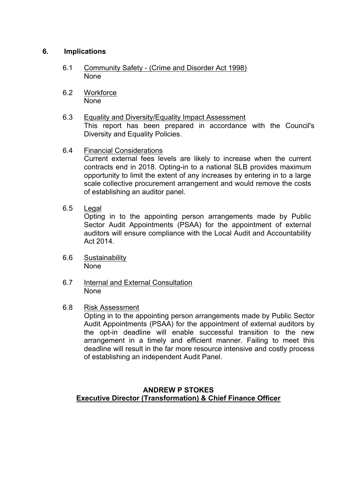### **6. Implications**

- 6.1 Community Safety (Crime and Disorder Act 1998) None
- 6.2 Workforce None
- 6.3 Equality and Diversity/Equality Impact Assessment This report has been prepared in accordance with the Council's Diversity and Equality Policies.
- 6.4 Financial Considerations Current external fees levels are likely to increase when the current contracts end in 2018. Opting-in to a national SLB provides maximum opportunity to limit the extent of any increases by entering in to a large scale collective procurement arrangement and would remove the costs of establishing an auditor panel.
- 6.5 Legal Opting in to the appointing person arrangements made by Public Sector Audit Appointments (PSAA) for the appointment of external auditors will ensure compliance with the Local Audit and Accountability Act 2014.
- 6.6 Sustainability None
- 6.7 Internal and External Consultation None
- 6.8 Risk Assessment

Opting in to the appointing person arrangements made by Public Sector Audit Appointments (PSAA) for the appointment of external auditors by the opt-in deadline will enable successful transition to the new arrangement in a timely and efficient manner. Failing to meet this deadline will result in the far more resource intensive and costly process of establishing an independent Audit Panel.

# **ANDREW P STOKES Executive Director (Transformation) & Chief Finance Officer**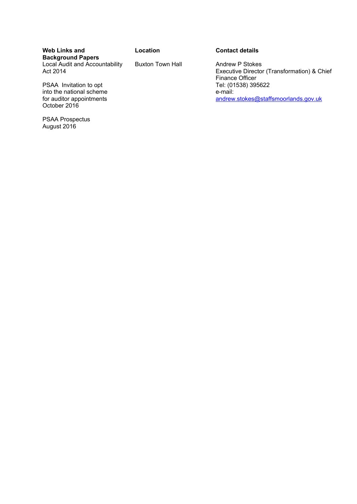**Web Links and Background Papers** Local Audit and Accountability Act 2014

PSAA Invitation to opt into the national scheme for auditor appointments October 2016

PSAA Prospectus August 2016

Buxton Town Hall **Andrew P Stokes** 

#### **Location Contact details**

Executive Director (Transformation) & Chief Finance Officer Tel: (01538) 395622 e-mail: [andrew.stokes@staffsmoorlands.gov.uk](mailto:andrew.stokes@staffsmoorlands.gov.uk)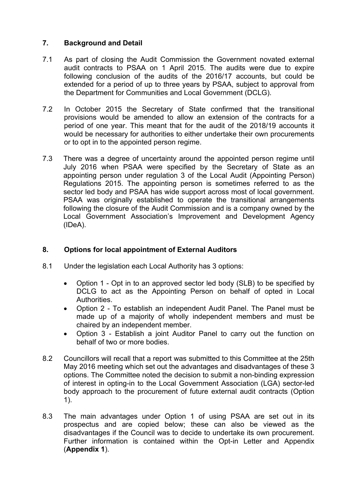# **7. Background and Detail**

- 7.1 As part of closing the Audit Commission the Government novated external audit contracts to PSAA on 1 April 2015. The audits were due to expire following conclusion of the audits of the 2016/17 accounts, but could be extended for a period of up to three years by PSAA, subject to approval from the Department for Communities and Local Government (DCLG).
- 7.2 In October 2015 the Secretary of State confirmed that the transitional provisions would be amended to allow an extension of the contracts for a period of one year. This meant that for the audit of the 2018/19 accounts it would be necessary for authorities to either undertake their own procurements or to opt in to the appointed person regime.
- 7.3 There was a degree of uncertainty around the appointed person regime until July 2016 when PSAA were specified by the Secretary of State as an appointing person under regulation 3 of the Local Audit (Appointing Person) Regulations 2015. The appointing person is sometimes referred to as the sector led body and PSAA has wide support across most of local government. PSAA was originally established to operate the transitional arrangements following the closure of the Audit Commission and is a company owned by the Local Government Association's Improvement and Development Agency (IDeA).

# **8. Options for local appointment of External Auditors**

- 8.1 Under the legislation each Local Authority has 3 options:
	- Option 1 Opt in to an approved sector led body (SLB) to be specified by DCLG to act as the Appointing Person on behalf of opted in Local Authorities.
	- Option 2 To establish an independent Audit Panel. The Panel must be made up of a majority of wholly independent members and must be chaired by an independent member.
	- Option 3 Establish a joint Auditor Panel to carry out the function on behalf of two or more bodies.
- 8.2 Councillors will recall that a report was submitted to this Committee at the 25th May 2016 meeting which set out the advantages and disadvantages of these 3 options. The Committee noted the decision to submit a non-binding expression of interest in opting-in to the Local Government Association (LGA) sector-led body approach to the procurement of future external audit contracts (Option 1).
- 8.3 The main advantages under Option 1 of using PSAA are set out in its prospectus and are copied below; these can also be viewed as the disadvantages if the Council was to decide to undertake its own procurement. Further information is contained within the Opt-in Letter and Appendix (**Appendix 1**).